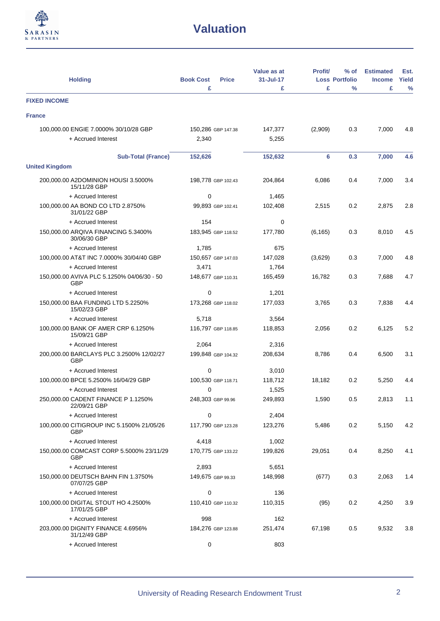

| <b>Holding</b>                                      | <b>Book Cost</b><br><b>Price</b> | Value as at<br>31-Jul-17 | <b>Profit/</b> | $%$ of<br><b>Loss Portfolio</b> | <b>Estimated</b><br><b>Income</b> | Est.<br>Yield |
|-----------------------------------------------------|----------------------------------|--------------------------|----------------|---------------------------------|-----------------------------------|---------------|
|                                                     | £                                | £                        | £              | $\frac{9}{6}$                   | £                                 | $\frac{0}{0}$ |
| <b>FIXED INCOME</b>                                 |                                  |                          |                |                                 |                                   |               |
| <b>France</b>                                       |                                  |                          |                |                                 |                                   |               |
| 100,000.00 ENGIE 7.0000% 30/10/28 GBP               | 150,286 GBP 147.38               | 147,377                  | (2,909)        | 0.3                             | 7,000                             | 4.8           |
| + Accrued Interest                                  | 2,340                            | 5,255                    |                |                                 |                                   |               |
| <b>Sub-Total (France)</b>                           | 152,626                          | 152,632                  | 6              | 0.3                             | 7,000                             | 4.6           |
| <b>United Kingdom</b>                               |                                  |                          |                |                                 |                                   |               |
| 200,000.00 A2DOMINION HOUSI 3.5000%<br>15/11/28 GBP | 198,778 GBP 102.43               | 204,864                  | 6,086          | 0.4                             | 7,000                             | 3.4           |
| + Accrued Interest                                  | 0                                | 1,465                    |                |                                 |                                   |               |
| 100,000.00 AA BOND CO LTD 2.8750%<br>31/01/22 GBP   | 99,893 GBP 102.41                | 102,408                  | 2,515          | 0.2                             | 2,875                             | 2.8           |
| + Accrued Interest                                  | 154                              | 0                        |                |                                 |                                   |               |
| 150,000.00 ARQIVA FINANCING 5.3400%<br>30/06/30 GBP | 183,945 GBP 118.52               | 177,780                  | (6, 165)       | 0.3                             | 8,010                             | 4.5           |
| + Accrued Interest                                  | 1,785                            | 675                      |                |                                 |                                   |               |
| 100,000.00 AT&T INC 7.0000% 30/04/40 GBP            | 150,657 GBP 147.03               | 147,028                  | (3,629)        | 0.3                             | 7,000                             | 4.8           |
| + Accrued Interest                                  | 3,471                            | 1,764                    |                |                                 |                                   |               |
| 150,000.00 AVIVA PLC 5.1250% 04/06/30 - 50<br>GBP   | 148,677 GBP 110.31               | 165,459                  | 16,782         | 0.3                             | 7,688                             | 4.7           |
| + Accrued Interest                                  | 0                                | 1,201                    |                |                                 |                                   |               |
| 150,000.00 BAA FUNDING LTD 5.2250%<br>15/02/23 GBP  | 173,268 GBP 118.02               | 177,033                  | 3,765          | 0.3                             | 7,838                             | 4.4           |
| + Accrued Interest                                  | 5,718                            | 3,564                    |                |                                 |                                   |               |
| 100,000.00 BANK OF AMER CRP 6.1250%<br>15/09/21 GBP | 116,797 GBP 118.85               | 118,853                  | 2,056          | 0.2                             | 6,125                             | 5.2           |
| + Accrued Interest                                  | 2,064                            | 2,316                    |                |                                 |                                   |               |
| 200,000.00 BARCLAYS PLC 3.2500% 12/02/27<br>GBP     | 199,848 GBP 104.32               | 208,634                  | 8.786          | 0.4                             | 6,500                             | 3.1           |
| + Accrued Interest                                  | 0                                | 3,010                    |                |                                 |                                   |               |
| 100,000.00 BPCE 5.2500% 16/04/29 GBP                | 100,530 GBP 118.71               | 118,712                  | 18,182         | 0.2                             | 5,250                             | 4.4           |
| + Accrued Interest                                  | 0                                | 1,525                    |                |                                 |                                   |               |
| 250,000.00 CADENT FINANCE P 1.1250%<br>22/09/21 GBP | 248,303 GBP 99.96                | 249,893                  | 1,590          | 0.5                             | 2,813                             | 1.1           |
| + Accrued Interest                                  | 0                                | 2,404                    |                |                                 |                                   |               |
| 100,000.00 CITIGROUP INC 5.1500% 21/05/26<br>GBP    | 117,790 GBP 123.28               | 123,276                  | 5,486          | 0.2                             | 5,150                             | 4.2           |
| + Accrued Interest                                  | 4,418                            | 1,002                    |                |                                 |                                   |               |
| 150,000.00 COMCAST CORP 5.5000% 23/11/29<br>GBP     | 170,775 GBP 133.22               | 199,826                  | 29,051         | 0.4                             | 8,250                             | 4.1           |
| + Accrued Interest                                  | 2,893                            | 5,651                    |                |                                 |                                   |               |
| 150,000.00 DEUTSCH BAHN FIN 1.3750%<br>07/07/25 GBP | 149,675 GBP 99.33                | 148,998                  | (677)          | 0.3                             | 2,063                             | 1.4           |
| + Accrued Interest                                  | 0                                | 136                      |                |                                 |                                   |               |
| 100,000.00 DIGITAL STOUT HO 4.2500%<br>17/01/25 GBP | 110,410 GBP 110.32               | 110,315                  | (95)           | 0.2                             | 4,250                             | 3.9           |
| + Accrued Interest                                  | 998                              | 162                      |                |                                 |                                   |               |
| 203,000.00 DIGNITY FINANCE 4.6956%<br>31/12/49 GBP  | 184,276 GBP 123.88               | 251,474                  | 67,198         | 0.5                             | 9,532                             | 3.8           |
| + Accrued Interest                                  | 0                                | 803                      |                |                                 |                                   |               |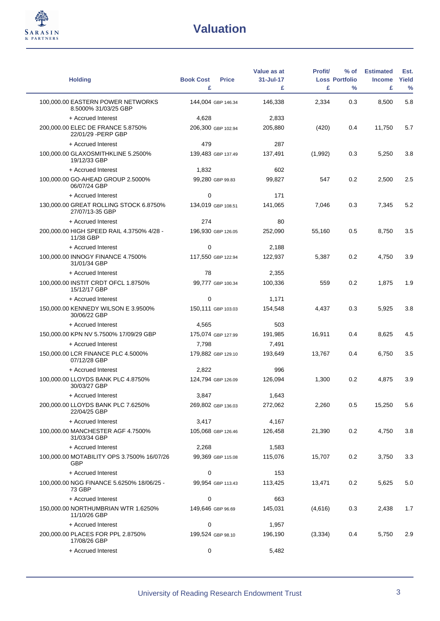

L.

| <b>Holding</b>                                            | <b>Book Cost</b><br>£ | <b>Price</b>       | Value as at<br>31-Jul-17<br>£ | <b>Profit/</b><br>£ | % of<br><b>Loss Portfolio</b><br>$\frac{0}{0}$ | <b>Estimated</b><br><b>Income</b><br>£ | Est.<br>Yield<br>$\%$ |
|-----------------------------------------------------------|-----------------------|--------------------|-------------------------------|---------------------|------------------------------------------------|----------------------------------------|-----------------------|
| 100,000.00 EASTERN POWER NETWORKS<br>8.5000% 31/03/25 GBP |                       | 144,004 GBP 146.34 | 146,338                       | 2,334               | 0.3                                            | 8,500                                  | 5.8                   |
| + Accrued Interest                                        | 4,628                 |                    | 2,833                         |                     |                                                |                                        |                       |
| 200,000.00 ELEC DE FRANCE 5.8750%<br>22/01/29 - PERP GBP  |                       | 206,300 GBP 102.94 | 205,880                       | (420)               | 0.4                                            | 11,750                                 | 5.7                   |
| + Accrued Interest                                        | 479                   |                    | 287                           |                     |                                                |                                        |                       |
| 100,000.00 GLAXOSMITHKLINE 5.2500%<br>19/12/33 GBP        |                       | 139,483 GBP 137.49 | 137,491                       | (1,992)             | 0.3                                            | 5,250                                  | 3.8                   |
| + Accrued Interest                                        | 1,832                 |                    | 602                           |                     |                                                |                                        |                       |
| 100,000.00 GO-AHEAD GROUP 2.5000%<br>06/07/24 GBP         |                       | 99,280 GBP 99.83   | 99,827                        | 547                 | 0.2                                            | 2,500                                  | 2.5                   |
| + Accrued Interest                                        | 0                     |                    | 171                           |                     |                                                |                                        |                       |
| 130,000.00 GREAT ROLLING STOCK 6.8750%<br>27/07/13-35 GBP |                       | 134,019 GBP 108.51 | 141,065                       | 7,046               | 0.3                                            | 7,345                                  | 5.2                   |
| + Accrued Interest                                        | 274                   |                    | 80                            |                     |                                                |                                        |                       |
| 200,000.00 HIGH SPEED RAIL 4.3750% 4/28 -<br>11/38 GBP    |                       | 196,930 GBP 126.05 | 252,090                       | 55,160              | 0.5                                            | 8,750                                  | 3.5                   |
| + Accrued Interest                                        | $\mathbf 0$           |                    | 2,188                         |                     |                                                |                                        |                       |
| 100,000.00 INNOGY FINANCE 4.7500%<br>31/01/34 GBP         |                       | 117,550 GBP 122.94 | 122,937                       | 5,387               | 0.2                                            | 4,750                                  | 3.9                   |
| + Accrued Interest                                        | 78                    |                    | 2,355                         |                     |                                                |                                        |                       |
| 100,000.00 INSTIT CRDT OFCL 1.8750%<br>15/12/17 GBP       |                       | 99,777 GBP 100.34  | 100,336                       | 559                 | 0.2                                            | 1,875                                  | 1.9                   |
| + Accrued Interest                                        | 0                     |                    | 1,171                         |                     |                                                |                                        |                       |
| 150,000.00 KENNEDY WILSON E 3.9500%<br>30/06/22 GBP       |                       | 150,111 GBP 103.03 | 154,548                       | 4,437               | 0.3                                            | 5,925                                  | 3.8                   |
| + Accrued Interest                                        | 4,565                 |                    | 503                           |                     |                                                |                                        |                       |
| 150,000.00 KPN NV 5.7500% 17/09/29 GBP                    |                       | 175,074 GBP 127.99 | 191,985                       | 16,911              | 0.4                                            | 8,625                                  | 4.5                   |
| + Accrued Interest                                        | 7,798                 |                    | 7,491                         |                     |                                                |                                        |                       |
| 150,000.00 LCR FINANCE PLC 4.5000%<br>07/12/28 GBP        |                       | 179,882 GBP 129.10 | 193,649                       | 13,767              | 0.4                                            | 6,750                                  | 3.5                   |
| + Accrued Interest                                        | 2,822                 |                    | 996                           |                     |                                                |                                        |                       |
| 100,000.00 LLOYDS BANK PLC 4.8750%<br>30/03/27 GBP        |                       | 124,794 GBP 126.09 | 126,094                       | 1,300               | 0.2                                            | 4,875                                  | 3.9                   |
| + Accrued Interest                                        | 3,847                 |                    | 1,643                         |                     |                                                |                                        |                       |
| 200,000.00 LLOYDS BANK PLC 7.6250%<br>22/04/25 GBP        |                       | 269,802 GBP 136.03 | 272,062                       | 2,260               | 0.5                                            | 15,250                                 | 5.6                   |
| + Accrued Interest                                        | 3,417                 |                    | 4,167                         |                     |                                                |                                        |                       |
| 100,000.00 MANCHESTER AGF 4.7500%<br>31/03/34 GBP         |                       | 105,068 GBP 126.46 | 126,458                       | 21,390              | 0.2                                            | 4,750                                  | 3.8                   |
| + Accrued Interest                                        | 2,268                 |                    | 1,583                         |                     |                                                |                                        |                       |
| 100,000.00 MOTABILITY OPS 3.7500% 16/07/26<br><b>GBP</b>  |                       | 99,369 GBP 115.08  | 115,076                       | 15,707              | 0.2                                            | 3,750                                  | 3.3                   |
| + Accrued Interest                                        | 0                     |                    | 153                           |                     |                                                |                                        |                       |
| 100,000.00 NGG FINANCE 5.6250% 18/06/25 -<br>73 GBP       |                       | 99,954 GBP 113.43  | 113,425                       | 13,471              | 0.2                                            | 5,625                                  | 5.0                   |
| + Accrued Interest                                        | 0                     |                    | 663                           |                     |                                                |                                        |                       |
| 150,000.00 NORTHUMBRIAN WTR 1.6250%<br>11/10/26 GBP       | 149,646 GBP 96.69     |                    | 145,031                       | (4,616)             | 0.3                                            | 2,438                                  | 1.7                   |
| + Accrued Interest                                        | 0                     |                    | 1,957                         |                     |                                                |                                        |                       |
| 200,000.00 PLACES FOR PPL 2.8750%<br>17/08/26 GBP         | 199,524 GBP 98.10     |                    | 196,190                       | (3, 334)            | 0.4                                            | 5,750                                  | 2.9                   |
| + Accrued Interest                                        | 0                     |                    | 5,482                         |                     |                                                |                                        |                       |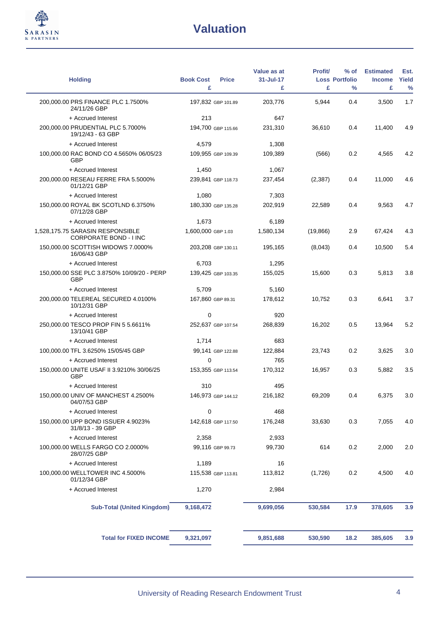

L.

| <b>Holding</b>                                                    | <b>Book Cost</b>   | <b>Price</b>       | Value as at<br>31-Jul-17 | <b>Profit/</b> | % of<br><b>Loss Portfolio</b> | <b>Estimated</b><br><b>Income</b> | Est.<br>Yield |
|-------------------------------------------------------------------|--------------------|--------------------|--------------------------|----------------|-------------------------------|-----------------------------------|---------------|
|                                                                   | £                  |                    | £                        | £              | $\frac{0}{0}$                 | £                                 | $\frac{0}{0}$ |
| 200,000.00 PRS FINANCE PLC 1.7500%<br>24/11/26 GBP                | 197,832 GBP 101.89 |                    | 203,776                  | 5,944          | 0.4                           | 3,500                             | 1.7           |
| + Accrued Interest                                                | 213                |                    | 647                      |                |                               |                                   |               |
| 200,000.00 PRUDENTIAL PLC 5.7000%<br>19/12/43 - 63 GBP            |                    | 194,700 GBP 115.66 | 231,310                  | 36,610         | 0.4                           | 11,400                            | 4.9           |
| + Accrued Interest                                                | 4,579              |                    | 1,308                    |                |                               |                                   |               |
| 100,000.00 RAC BOND CO 4.5650% 06/05/23<br><b>GBP</b>             |                    | 109,955 GBP 109.39 | 109,389                  | (566)          | 0.2                           | 4,565                             | 4.2           |
| + Accrued Interest                                                | 1,450              |                    | 1,067                    |                |                               |                                   |               |
| 200,000.00 RESEAU FERRE FRA 5.5000%<br>01/12/21 GBP               |                    | 239,841 GBP 118.73 | 237,454                  | (2, 387)       | 0.4                           | 11,000                            | 4.6           |
| + Accrued Interest                                                | 1,080              |                    | 7,303                    |                |                               |                                   |               |
| 150,000.00 ROYAL BK SCOTLND 6.3750%<br>07/12/28 GBP               |                    | 180,330 GBP 135.28 | 202,919                  | 22,589         | 0.4                           | 9,563                             | 4.7           |
| + Accrued Interest                                                | 1,673              |                    | 6,189                    |                |                               |                                   |               |
| 1,528,175.75 SARASIN RESPONSIBLE<br><b>CORPORATE BOND - I INC</b> | 1,600,000 GBP 1.03 |                    | 1,580,134                | (19, 866)      | 2.9                           | 67,424                            | 4.3           |
| 150,000.00 SCOTTISH WIDOWS 7.0000%<br>16/06/43 GBP                | 203,208 GBP 130.11 |                    | 195,165                  | (8,043)        | 0.4                           | 10,500                            | 5.4           |
| + Accrued Interest                                                | 6,703              |                    | 1,295                    |                |                               |                                   |               |
| 150,000.00 SSE PLC 3.8750% 10/09/20 - PERP<br><b>GBP</b>          |                    | 139.425 GBP 103.35 | 155,025                  | 15,600         | 0.3                           | 5,813                             | 3.8           |
| + Accrued Interest                                                | 5,709              |                    | 5,160                    |                |                               |                                   |               |
| 200,000.00 TELEREAL SECURED 4.0100%<br>10/12/31 GBP               | 167,860 GBP 89.31  |                    | 178,612                  | 10,752         | 0.3                           | 6,641                             | 3.7           |
| + Accrued Interest                                                | $\mathbf 0$        |                    | 920                      |                |                               |                                   |               |
| 250,000.00 TESCO PROP FIN 5 5.6611%<br>13/10/41 GBP               | 252,637 GBP 107.54 |                    | 268,839                  | 16,202         | 0.5                           | 13,964                            | 5.2           |
| + Accrued Interest                                                | 1,714              |                    | 683                      |                |                               |                                   |               |
| 100,000.00 TFL 3.6250% 15/05/45 GBP                               |                    | 99.141 GBP 122.88  | 122,884                  | 23,743         | 0.2                           | 3,625                             | 3.0           |
| + Accrued Interest                                                | $\mathbf 0$        |                    | 765                      |                |                               |                                   |               |
| 150,000.00 UNITE USAF II 3.9210% 30/06/25<br><b>GBP</b>           |                    | 153,355 GBP 113.54 | 170,312                  | 16,957         | 0.3                           | 5,882                             | 3.5           |
| + Accrued Interest                                                | 310                |                    | 495                      |                |                               |                                   |               |
| 150,000.00 UNIV OF MANCHEST 4.2500%<br>04/07/53 GBP               |                    | 146,973 GBP 144.12 | 216,182                  | 69,209         | 0.4                           | 6,375                             | 3.0           |
| + Accrued Interest                                                | 0                  |                    | 468                      |                |                               |                                   |               |
| 150,000.00 UPP BOND ISSUER 4.9023%<br>31/8/13 - 39 GBP            |                    | 142,618 GBP 117.50 | 176,248                  | 33,630         | 0.3                           | 7,055                             | 4.0           |
| + Accrued Interest                                                | 2,358              |                    | 2,933                    |                |                               |                                   |               |
| 100,000.00 WELLS FARGO CO 2.0000%<br>28/07/25 GBP                 |                    | 99,116 GBP 99.73   | 99,730                   | 614            | 0.2                           | 2,000                             | 2.0           |
| + Accrued Interest                                                | 1,189              |                    | 16                       |                |                               |                                   |               |
| 100,000.00 WELLTOWER INC 4.5000%<br>01/12/34 GBP                  |                    | 115,538 GBP 113.81 | 113,812                  | (1,726)        | 0.2                           | 4,500                             | 4.0           |
| + Accrued Interest                                                | 1,270              |                    | 2,984                    |                |                               |                                   |               |
| <b>Sub-Total (United Kingdom)</b>                                 | 9,168,472          |                    | 9,699,056                | 530,584        | 17.9                          | 378,605                           | 3.9           |
| <b>Total for FIXED INCOME</b>                                     | 9,321,097          |                    | 9,851,688                | 530,590        | 18.2                          | 385,605                           | 3.9           |
|                                                                   |                    |                    |                          |                |                               |                                   |               |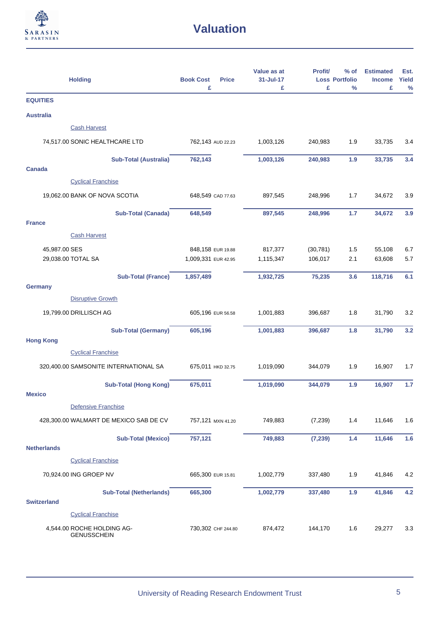

| <b>Holding</b>                                   | <b>Book Cost</b><br><b>Price</b><br>£    | Value as at<br>31-Jul-17<br>£ | Profit/<br>£         | $%$ of<br><b>Loss Portfolio</b><br>$\frac{9}{6}$ | <b>Estimated</b><br><b>Income</b><br>£ | Est.<br>Yield |
|--------------------------------------------------|------------------------------------------|-------------------------------|----------------------|--------------------------------------------------|----------------------------------------|---------------|
| <b>EQUITIES</b>                                  |                                          |                               |                      |                                                  |                                        | $\%$          |
| <b>Australia</b>                                 |                                          |                               |                      |                                                  |                                        |               |
| <b>Cash Harvest</b>                              |                                          |                               |                      |                                                  |                                        |               |
| 74,517.00 SONIC HEALTHCARE LTD                   | 762,143 AUD 22.23                        | 1,003,126                     | 240,983              | 1.9                                              | 33,735                                 | 3.4           |
| <b>Sub-Total (Australia)</b><br>Canada           | 762,143                                  | 1,003,126                     | 240,983              | 1.9                                              | 33,735                                 | 3.4           |
| <b>Cyclical Franchise</b>                        |                                          |                               |                      |                                                  |                                        |               |
| 19,062.00 BANK OF NOVA SCOTIA                    | 648,549 CAD 77.63                        | 897,545                       | 248,996              | 1.7                                              | 34,672                                 | 3.9           |
| <b>Sub-Total (Canada)</b><br><b>France</b>       | 648,549                                  | 897,545                       | 248,996              | 1.7                                              | 34,672                                 | 3.9           |
| <b>Cash Harvest</b>                              |                                          |                               |                      |                                                  |                                        |               |
| 45,987.00 SES<br>29,038.00 TOTAL SA              | 848,158 EUR 19.88<br>1,009,331 EUR 42.95 | 817,377<br>1,115,347          | (30, 781)<br>106,017 | 1.5<br>2.1                                       | 55,108<br>63,608                       | 6.7<br>5.7    |
|                                                  |                                          |                               |                      |                                                  |                                        |               |
| <b>Sub-Total (France)</b><br><b>Germany</b>      | 1,857,489                                | 1,932,725                     | 75,235               | 3.6                                              | 118,716                                | 6.1           |
| <b>Disruptive Growth</b>                         |                                          |                               |                      |                                                  |                                        |               |
| 19,799.00 DRILLISCH AG                           | 605,196 EUR 56.58                        | 1,001,883                     | 396,687              | 1.8                                              | 31,790                                 | 3.2           |
| <b>Sub-Total (Germany)</b><br><b>Hong Kong</b>   | 605,196                                  | 1,001,883                     | 396,687              | 1.8                                              | 31,790                                 | 3.2           |
| <b>Cyclical Franchise</b>                        |                                          |                               |                      |                                                  |                                        |               |
| 320,400.00 SAMSONITE INTERNATIONAL SA            | 675,011 НКД 32.75                        | 1,019,090                     | 344,079              | 1.9                                              | 16,907                                 | 1.7           |
| <b>Sub-Total (Hong Kong)</b><br><b>Mexico</b>    | 675,011                                  | 1,019,090                     | 344,079              | 1.9                                              | 16,907                                 | 1.7           |
| Defensive Franchise                              |                                          |                               |                      |                                                  |                                        |               |
| 428,300.00 WALMART DE MEXICO SAB DE CV           | 757,121 MXN 41.20                        | 749,883                       | (7, 239)             | 1.4                                              | 11,646                                 | 1.6           |
| <b>Sub-Total (Mexico)</b><br><b>Netherlands</b>  | 757,121                                  | 749,883                       | (7, 239)             | $1.4$                                            | 11,646                                 | 1.6           |
| <b>Cyclical Franchise</b>                        |                                          |                               |                      |                                                  |                                        |               |
| 70,924.00 ING GROEP NV                           | 665,300 EUR 15.81                        | 1,002,779                     | 337,480              | 1.9                                              | 41,846                                 | 4.2           |
| <b>Sub-Total (Netherlands)</b>                   | 665,300                                  | 1,002,779                     | 337,480              | 1.9                                              | 41,846                                 | 4.2           |
| <b>Switzerland</b>                               |                                          |                               |                      |                                                  |                                        |               |
| <b>Cyclical Franchise</b>                        |                                          |                               |                      |                                                  |                                        |               |
| 4,544.00 ROCHE HOLDING AG-<br><b>GENUSSCHEIN</b> | 730,302 CHF 244.80                       | 874,472                       | 144,170              | 1.6                                              | 29,277                                 | 3.3           |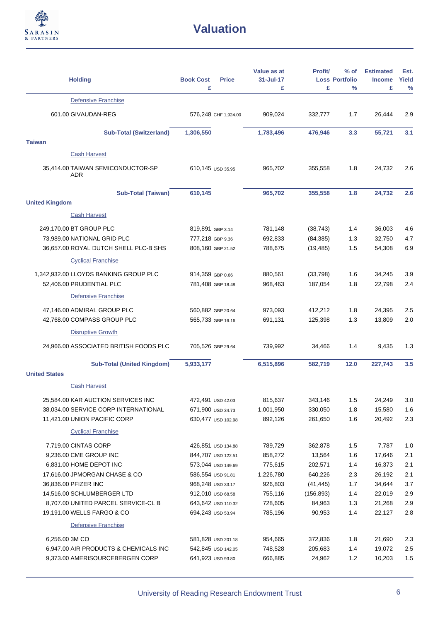

| <b>Holding</b>                                                       | <b>Book Cost</b><br><b>Price</b><br>£  | Value as at<br>31-Jul-17<br>£ | <b>Profit/</b><br>£    | $%$ of<br><b>Loss Portfolio</b><br>% | <b>Estimated</b><br><b>Income</b><br>£ | Est.<br>Yield<br>$\frac{0}{0}$ |
|----------------------------------------------------------------------|----------------------------------------|-------------------------------|------------------------|--------------------------------------|----------------------------------------|--------------------------------|
| Defensive Franchise                                                  |                                        |                               |                        |                                      |                                        |                                |
| 601.00 GIVAUDAN-REG                                                  | 576,248 CHF 1,924.00                   | 909,024                       | 332,777                | 1.7                                  | 26,444                                 | 2.9                            |
| <b>Sub-Total (Switzerland)</b>                                       | 1,306,550                              | 1,783,496                     | 476,946                | 3.3                                  | 55,721                                 | 3.1                            |
| <b>Taiwan</b>                                                        |                                        |                               |                        |                                      |                                        |                                |
| <b>Cash Harvest</b>                                                  |                                        |                               |                        |                                      |                                        |                                |
| 35,414.00 TAIWAN SEMICONDUCTOR-SP<br><b>ADR</b>                      | 610,145 USD 35.95                      | 965,702                       | 355,558                | 1.8                                  | 24,732                                 | 2.6                            |
| <b>Sub-Total (Taiwan)</b>                                            | 610,145                                | 965,702                       | 355,558                | 1.8                                  | 24,732                                 | 2.6                            |
| <b>United Kingdom</b>                                                |                                        |                               |                        |                                      |                                        |                                |
| <b>Cash Harvest</b>                                                  |                                        |                               |                        |                                      |                                        |                                |
| 249,170.00 BT GROUP PLC                                              | 819,891 GBP 3.14                       | 781,148                       | (38, 743)              | 1.4                                  | 36,003                                 | 4.6                            |
| 73,989.00 NATIONAL GRID PLC<br>36,657.00 ROYAL DUTCH SHELL PLC-B SHS | 777,218 GBP 9.36<br>808,160 GBP 21.52  | 692,833<br>788,675            | (84, 385)<br>(19, 485) | 1.3<br>1.5                           | 32,750<br>54,308                       | 4.7<br>6.9                     |
| <b>Cyclical Franchise</b>                                            |                                        |                               |                        |                                      |                                        |                                |
|                                                                      |                                        |                               |                        |                                      |                                        |                                |
| 1,342,932.00 LLOYDS BANKING GROUP PLC<br>52,406.00 PRUDENTIAL PLC    | 914,359 GBP 0.66<br>781,408 GBP 18.48  | 880,561<br>968,463            | (33, 798)<br>187,054   | 1.6<br>1.8                           | 34,245<br>22,798                       | 3.9<br>2.4                     |
| Defensive Franchise                                                  |                                        |                               |                        |                                      |                                        |                                |
|                                                                      |                                        |                               |                        |                                      |                                        |                                |
| 47,146.00 ADMIRAL GROUP PLC<br>42,768.00 COMPASS GROUP PLC           | 560,882 GBP 20.64<br>565,733 GBP 16.16 | 973,093<br>691,131            | 412,212<br>125,398     | 1.8<br>1.3                           | 24,395<br>13,809                       | 2.5<br>2.0                     |
| <b>Disruptive Growth</b>                                             |                                        |                               |                        |                                      |                                        |                                |
| 24,966.00 ASSOCIATED BRITISH FOODS PLC                               | 705,526 GBP 29.64                      | 739,992                       | 34,466                 | 1.4                                  | 9,435                                  | 1.3                            |
|                                                                      |                                        |                               |                        |                                      |                                        |                                |
| <b>Sub-Total (United Kingdom)</b><br><b>United States</b>            | 5,933,177                              | 6,515,896                     | 582,719                | 12.0                                 | 227,743                                | 3.5                            |
| <b>Cash Harvest</b>                                                  |                                        |                               |                        |                                      |                                        |                                |
| 25,584.00 KAR AUCTION SERVICES INC                                   | 472,491 USD 42.03                      | 815,637                       | 343,146                | 1.5                                  | 24,249                                 | 3.0                            |
| 38,034.00 SERVICE CORP INTERNATIONAL                                 | 671,900 USD 34.73                      | 1,001,950                     | 330,050                | 1.8                                  | 15,580                                 | 1.6                            |
| 11,421.00 UNION PACIFIC CORP                                         | 630,477 USD 102.98                     | 892,126                       | 261,650                | 1.6                                  | 20,492                                 | 2.3                            |
| <b>Cyclical Franchise</b>                                            |                                        |                               |                        |                                      |                                        |                                |
| 7,719.00 CINTAS CORP                                                 | 426,851 USD 134.88                     | 789,729                       | 362,878                | 1.5                                  | 7,787                                  | 1.0                            |
| 9,236.00 CME GROUP INC                                               | 844,707 USD 122.51                     | 858,272                       | 13,564                 | 1.6                                  | 17,646                                 | 2.1                            |
| 6,831.00 HOME DEPOT INC                                              | 573,044 USD 149.69                     | 775,615                       | 202,571                | 1.4                                  | 16,373                                 | 2.1                            |
| 17,616.00 JPMORGAN CHASE & CO                                        | 586,554 USD 91.81                      | 1,226,780                     | 640,226                | 2.3                                  | 26,192                                 | 2.1                            |
| 36,836.00 PFIZER INC                                                 | 968,248 USD 33.17                      | 926,803                       | (41, 445)              | 1.7                                  | 34,644                                 | 3.7                            |
| 14,516.00 SCHLUMBERGER LTD                                           | 912,010 USD 68.58                      | 755,116                       | (156, 893)             | 1.4                                  | 22,019                                 | 2.9                            |
| 8,707.00 UNITED PARCEL SERVICE-CL B                                  | 643,642 USD 110.32                     | 728,605                       | 84,963                 | 1.3                                  | 21,268                                 | $2.9\,$                        |
| 19,191.00 WELLS FARGO & CO                                           | 694,243 USD 53.94                      | 785,196                       | 90,953                 | 1.4                                  | 22,127                                 | 2.8                            |
| Defensive Franchise                                                  |                                        |                               |                        |                                      |                                        |                                |
| 6,256.00 3M CO                                                       | 581,828 USD 201.18                     | 954,665                       | 372,836                | 1.8                                  | 21,690                                 | $2.3\,$                        |
| 6,947.00 AIR PRODUCTS & CHEMICALS INC                                | 542,845 USD 142.05                     | 748,528                       | 205,683                | 1.4                                  | 19,072                                 | $2.5\,$                        |
| 9,373.00 AMERISOURCEBERGEN CORP                                      | 641,923 USD 93.80                      | 666,885                       | 24,962                 | 1.2                                  | 10,203                                 | 1.5                            |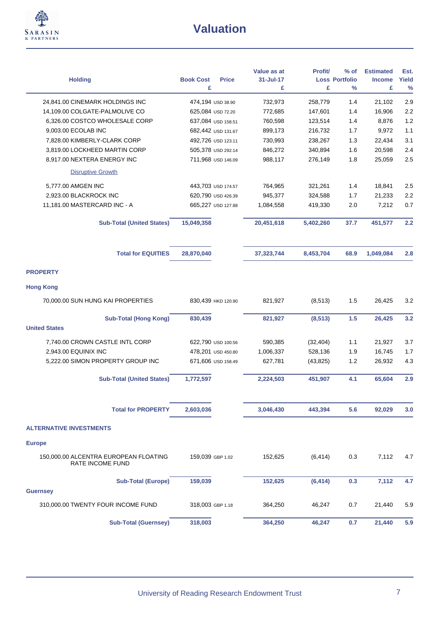

| <b>Holding</b>                                            | <b>Book Cost</b><br><b>Price</b><br>£ | Value as at<br>31-Jul-17<br>£ | Profit/<br>£ | $%$ of<br><b>Loss Portfolio</b><br>% | <b>Estimated</b><br><b>Income</b><br>£ | Est.<br>Yield<br>$\frac{9}{6}$ |
|-----------------------------------------------------------|---------------------------------------|-------------------------------|--------------|--------------------------------------|----------------------------------------|--------------------------------|
| 24,841.00 CINEMARK HOLDINGS INC                           | 474,194 USD 38.90                     | 732,973                       | 258,779      | 1.4                                  | 21,102                                 | 2.9                            |
| 14,109.00 COLGATE-PALMOLIVE CO                            | 625,084 USD 72.20                     | 772,685                       | 147,601      | 1.4                                  | 16,906                                 | 2.2                            |
| 6,326.00 COSTCO WHOLESALE CORP                            | 637,084 USD 158.51                    | 760,598                       | 123,514      | 1.4                                  | 8,876                                  | 1.2                            |
| 9,003.00 ECOLAB INC                                       | 682,442 USD 131.67                    | 899,173                       | 216,732      | 1.7                                  | 9,972                                  | 1.1                            |
| 7,828.00 KIMBERLY-CLARK CORP                              | 492,726 USD 123.11                    | 730,993                       | 238,267      | 1.3                                  | 22,434                                 | 3.1                            |
| 3,819.00 LOCKHEED MARTIN CORP                             | 505,378 USD 292.14                    | 846,272                       | 340,894      | 1.6                                  | 20,598                                 | 2.4                            |
| 8,917.00 NEXTERA ENERGY INC                               | 711,968 USD 146.09                    | 988,117                       | 276,149      | 1.8                                  | 25,059                                 | 2.5                            |
| <b>Disruptive Growth</b>                                  |                                       |                               |              |                                      |                                        |                                |
| 5,777.00 AMGEN INC                                        | 443,703 USD 174.57                    | 764,965                       | 321,261      | 1.4                                  | 18,841                                 | 2.5                            |
| 2,923.00 BLACKROCK INC                                    | 620,790 USD 426.39                    | 945,377                       | 324,588      | 1.7                                  | 21,233                                 | 2.2                            |
| 11,181.00 MASTERCARD INC - A                              | 665,227 USD 127.88                    | 1,084,558                     | 419,330      | 2.0                                  | 7,212                                  | 0.7                            |
|                                                           |                                       |                               |              |                                      |                                        |                                |
| <b>Sub-Total (United States)</b>                          | 15,049,358                            | 20,451,618                    | 5,402,260    | 37.7                                 | 451,577                                | 2.2                            |
| <b>Total for EQUITIES</b>                                 | 28,870,040                            | 37,323,744                    | 8,453,704    | 68.9                                 | 1,049,084                              | 2.8                            |
| <b>PROPERTY</b>                                           |                                       |                               |              |                                      |                                        |                                |
| <b>Hong Kong</b>                                          |                                       |                               |              |                                      |                                        |                                |
| 70,000.00 SUN HUNG KAI PROPERTIES                         | 830,439 HKD 120.90                    | 821,927                       | (8, 513)     | 1.5                                  | 26,425                                 | 3.2                            |
| <b>Sub-Total (Hong Kong)</b><br><b>United States</b>      | 830,439                               | 821,927                       | (8, 513)     | 1.5                                  | 26,425                                 | 3.2                            |
| 7,740.00 CROWN CASTLE INTL CORP                           | 622,790 USD 100.56                    | 590,385                       | (32, 404)    | 1.1                                  | 21,927                                 | 3.7                            |
| 2,943.00 EQUINIX INC                                      | 478,201 USD 450.80                    | 1,006,337                     | 528,136      | 1.9                                  | 16,745                                 | 1.7                            |
| 5,222.00 SIMON PROPERTY GROUP INC                         | 671,606 USD 158.49                    | 627,781                       | (43, 825)    | 1.2                                  | 26,932                                 | 4.3                            |
| <b>Sub-Total (United States)</b>                          | 1,772,597                             | 2,224,503                     | 451,907      | 4.1                                  | 65,604                                 | 2.9                            |
| <b>Total for PROPERTY</b>                                 | 2,603,036                             | 3,046,430                     | 443,394      | 5.6                                  | 92,029                                 | 3.0                            |
| <b>ALTERNATIVE INVESTMENTS</b>                            |                                       |                               |              |                                      |                                        |                                |
| <b>Europe</b>                                             |                                       |                               |              |                                      |                                        |                                |
| 150,000.00 ALCENTRA EUROPEAN FLOATING<br>RATE INCOME FUND | 159,039 GBP 1.02                      | 152,625                       | (6, 414)     | 0.3                                  | 7,112                                  | 4.7                            |
| <b>Sub-Total (Europe)</b>                                 | 159,039                               | 152,625                       | (6, 414)     | 0.3                                  | 7,112                                  | 4.7                            |
| <b>Guernsey</b>                                           |                                       |                               |              |                                      |                                        |                                |
| 310,000.00 TWENTY FOUR INCOME FUND                        | 318,003 GBP 1.18                      | 364,250                       | 46,247       | 0.7                                  | 21,440                                 | 5.9                            |
| <b>Sub-Total (Guernsey)</b>                               | 318,003                               | 364,250                       | 46,247       | 0.7                                  | 21,440                                 | 5.9                            |